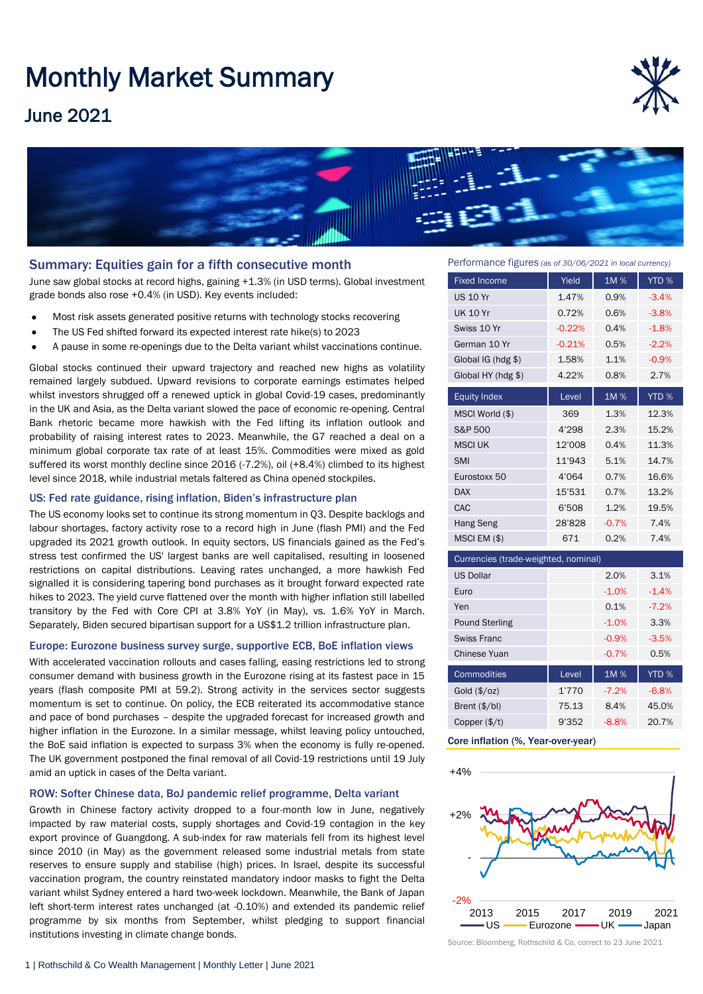# Monthly Market Summary

## June 2021





#### Summary: Equities gain for a fifth consecutive month

June saw global stocks at record highs, gaining +1.3% (in USD terms). Global investment grade bonds also rose +0.4% (in USD). Key events included:

- Most risk assets generated positive returns with technology stocks recovering
- The US Fed shifted forward its expected interest rate hike(s) to 2023
- A pause in some re-openings due to the Delta variant whilst vaccinations continue.

Global stocks continued their upward trajectory and reached new highs as volatility remained largely subdued. Upward revisions to corporate earnings estimates helped whilst investors shrugged off a renewed uptick in global Covid-19 cases, predominantly in the UK and Asia, as the Delta variant slowed the pace of economic re-opening. Central Bank rhetoric became more hawkish with the Fed lifting its inflation outlook and probability of raising interest rates to 2023. Meanwhile, the G7 reached a deal on a minimum global corporate tax rate of at least 15%. Commodities were mixed as gold suffered its worst monthly decline since 2016 (-7.2%), oil (+8.4%) climbed to its highest level since 2018, while industrial metals faltered as China opened stockpiles.

#### US: Fed rate guidance, rising inflation, Biden's infrastructure plan

The US economy looks set to continue its strong momentum in Q3. Despite backlogs and labour shortages, factory activity rose to a record high in June (flash PMI) and the Fed upgraded its 2021 growth outlook. In equity sectors, US financials gained as the Fed's stress test confirmed the US' largest banks are well capitalised, resulting in loosened restrictions on capital distributions. Leaving rates unchanged, a more hawkish Fed signalled it is considering tapering bond purchases as it brought forward expected rate hikes to 2023. The yield curve flattened over the month with higher inflation still labelled transitory by the Fed with Core CPI at 3.8% YoY (in May), vs. 1.6% YoY in March. Separately, Biden secured bipartisan support for a US\$1.2 trillion infrastructure plan.

#### Europe: Eurozone business survey surge, supportive ECB, BoE inflation views

With accelerated vaccination rollouts and cases falling, easing restrictions led to strong consumer demand with business growth in the Eurozone rising at its fastest pace in 15 years (flash composite PMI at 59.2). Strong activity in the services sector suggests momentum is set to continue. On policy, the ECB reiterated its accommodative stance and pace of bond purchases – despite the upgraded forecast for increased growth and higher inflation in the Eurozone. In a similar message, whilst leaving policy untouched, the BoE said inflation is expected to surpass 3% when the economy is fully re-opened. The UK government postponed the final removal of all Covid-19 restrictions until 19 July amid an uptick in cases of the Delta variant.

#### ROW: Softer Chinese data, BoJ pandemic relief programme, Delta variant

Growth in Chinese factory activity dropped to a four-month low in June, negatively impacted by raw material costs, supply shortages and Covid-19 contagion in the key export province of Guangdong. A sub-index for raw materials fell from its highest level since 2010 (in May) as the government released some industrial metals from state reserves to ensure supply and stabilise (high) prices. In Israel, despite its successful vaccination program, the country reinstated mandatory indoor masks to fight the Delta variant whilst Sydney entered a hard two-week lockdown. Meanwhile, the Bank of Japan left short-term interest rates unchanged (at -0.10%) and extended its pandemic relief programme by six months from September, whilst pledging to support financial institutions investing in climate change bonds.

Performance figures *(as of 30/06/2021 in local currency)*

| <b>Fixed Income</b>                  | Yield    | 1M%     | YTD %   |
|--------------------------------------|----------|---------|---------|
| <b>US 10 Yr</b>                      | 1.47%    | 0.9%    | $-3.4%$ |
| <b>UK 10 Yr</b>                      | 0.72%    | 0.6%    | $-3.8%$ |
| Swiss 10 Yr                          | $-0.22%$ | 0.4%    | $-1.8%$ |
| German 10 Yr                         | $-0.21%$ | 0.5%    | $-2.2%$ |
| Global $IG$ (hdg $$$ )               | 1.58%    | 1.1%    | $-0.9%$ |
| Global HY ( $h dg$ \$)               | 4.22%    | 0.8%    | 2.7%    |
| <b>Equity Index</b>                  | Level    | 1M%     | YTD %   |
| MSCI World (\$)                      | 369      | 1.3%    | 12.3%   |
| S&P 500                              | 4'298    | 2.3%    | 15.2%   |
| <b>MSCI UK</b>                       | 12'008   | 0.4%    | 11.3%   |
| <b>SMI</b>                           | 11'943   | 5.1%    | 14.7%   |
| Eurostoxx 50                         | 4'064    | 0.7%    | 16.6%   |
| <b>DAX</b>                           | 15'531   | 0.7%    | 13.2%   |
| CAC                                  | 6'508    | 1.2%    | 19.5%   |
| Hang Seng                            | 28'828   | $-0.7%$ | 7.4%    |
| $MSCI$ EM $(\$)$                     | 671      | 0.2%    | 7.4%    |
| Currencies (trade-weighted, nominal) |          |         |         |

| <u>UdiTCHUIC3 (Gauc-Weighted, Homman)</u> |       |         |         |  |
|-------------------------------------------|-------|---------|---------|--|
| <b>US Dollar</b>                          |       | 2.0%    | 3.1%    |  |
| Euro                                      |       | $-1.0%$ | $-1.4%$ |  |
| Yen                                       |       | 0.1%    | $-7.2%$ |  |
| <b>Pound Sterling</b>                     |       | $-1.0%$ | 3.3%    |  |
| Swiss Franc                               |       | $-0.9%$ | $-3.5%$ |  |
| Chinese Yuan                              |       | $-0.7%$ | 0.5%    |  |
| <b>Commodities</b>                        | Level | 1M%     | YTD %   |  |
| Gold (\$/oz)                              | 1'770 | $-7.2%$ | $-6.8%$ |  |
| Brent $(\frac{5}{bl})$                    | 75.13 | 8.4%    | 45.0%   |  |
| Copper $(\frac{4}{3})$                    | 9'352 | $-8.8%$ | 20.7%   |  |

#### Core inflation (%, Year-over-year)



Source: Bloomberg, Rothschild & Co, correct to 23 June 2021